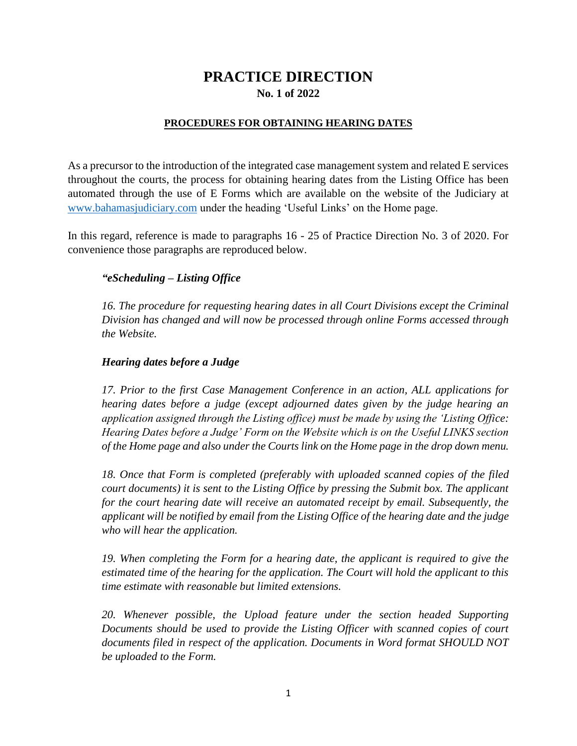# **PRACTICE DIRECTION No. 1 of 2022**

#### **PROCEDURES FOR OBTAINING HEARING DATES**

As a precursor to the introduction of the integrated case management system and related E services throughout the courts, the process for obtaining hearing dates from the Listing Office has been automated through the use of E Forms which are available on the website of the Judiciary at [www.bahamasjudiciary.com](http://www.bahamasjudiciary.com/) under the heading 'Useful Links' on the Home page.

In this regard, reference is made to paragraphs 16 - 25 of Practice Direction No. 3 of 2020. For convenience those paragraphs are reproduced below.

### *"eScheduling – Listing Office*

*16. The procedure for requesting hearing dates in all Court Divisions except the Criminal Division has changed and will now be processed through online Forms accessed through the Website.*

#### *Hearing dates before a Judge*

*17. Prior to the first Case Management Conference in an action, ALL applications for hearing dates before a judge (except adjourned dates given by the judge hearing an application assigned through the Listing office) must be made by using the 'Listing Office: Hearing Dates before a Judge' Form on the Website which is on the Useful LINKS section of the Home page and also under the Courts link on the Home page in the drop down menu.* 

*18. Once that Form is completed (preferably with uploaded scanned copies of the filed court documents) it is sent to the Listing Office by pressing the Submit box. The applicant for the court hearing date will receive an automated receipt by email. Subsequently, the applicant will be notified by email from the Listing Office of the hearing date and the judge who will hear the application.*

*19. When completing the Form for a hearing date, the applicant is required to give the estimated time of the hearing for the application. The Court will hold the applicant to this time estimate with reasonable but limited extensions.*

20. Whenever possible, the Upload feature under the section headed Supporting *Documents should be used to provide the Listing Officer with scanned copies of court documents filed in respect of the application. Documents in Word format SHOULD NOT be uploaded to the Form.*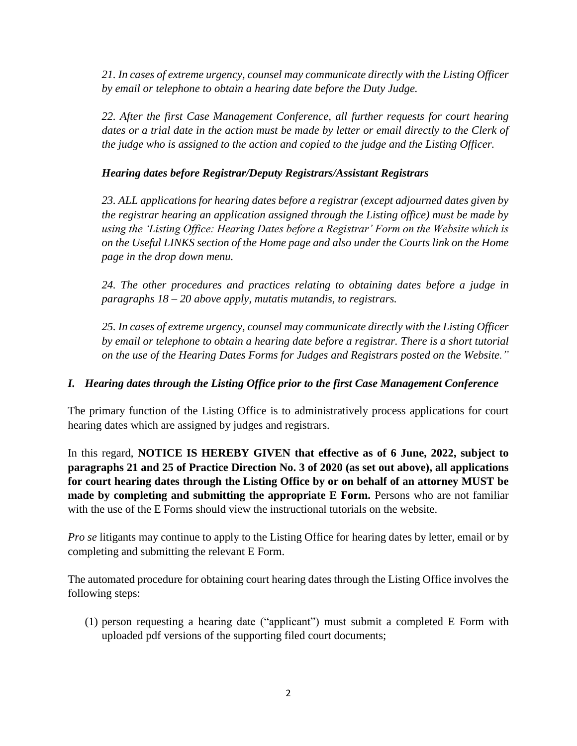*21. In cases of extreme urgency, counsel may communicate directly with the Listing Officer by email or telephone to obtain a hearing date before the Duty Judge.* 

*22. After the first Case Management Conference, all further requests for court hearing*  dates or a trial date in the action must be made by letter or email directly to the Clerk of *the judge who is assigned to the action and copied to the judge and the Listing Officer.* 

### *Hearing dates before Registrar/Deputy Registrars/Assistant Registrars*

*23. ALL applications for hearing dates before a registrar (except adjourned dates given by the registrar hearing an application assigned through the Listing office) must be made by using the 'Listing Office: Hearing Dates before a Registrar' Form on the Website which is on the Useful LINKS section of the Home page and also under the Courts link on the Home page in the drop down menu.*

*24. The other procedures and practices relating to obtaining dates before a judge in paragraphs 18 – 20 above apply, mutatis mutandis, to registrars.*

*25. In cases of extreme urgency, counsel may communicate directly with the Listing Officer by email or telephone to obtain a hearing date before a registrar. There is a short tutorial on the use of the Hearing Dates Forms for Judges and Registrars posted on the Website."*

## *I. Hearing dates through the Listing Office prior to the first Case Management Conference*

The primary function of the Listing Office is to administratively process applications for court hearing dates which are assigned by judges and registrars.

In this regard, **NOTICE IS HEREBY GIVEN that effective as of 6 June, 2022, subject to paragraphs 21 and 25 of Practice Direction No. 3 of 2020 (as set out above), all applications for court hearing dates through the Listing Office by or on behalf of an attorney MUST be made by completing and submitting the appropriate E Form.** Persons who are not familiar with the use of the E Forms should view the instructional tutorials on the website.

*Pro se* litigants may continue to apply to the Listing Office for hearing dates by letter, email or by completing and submitting the relevant E Form.

The automated procedure for obtaining court hearing dates through the Listing Office involves the following steps:

(1) person requesting a hearing date ("applicant") must submit a completed E Form with uploaded pdf versions of the supporting filed court documents;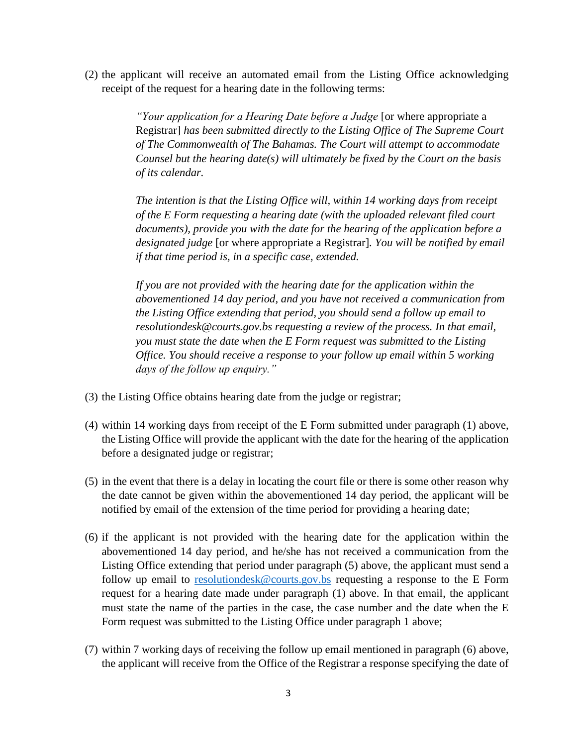(2) the applicant will receive an automated email from the Listing Office acknowledging receipt of the request for a hearing date in the following terms:

> *"Your application for a Hearing Date before a Judge* [or where appropriate a Registrar] *has been submitted directly to the Listing Office of The Supreme Court of The Commonwealth of The Bahamas. The Court will attempt to accommodate Counsel but the hearing date(s) will ultimately be fixed by the Court on the basis of its calendar.*

> *The intention is that the Listing Office will, within 14 working days from receipt of the E Form requesting a hearing date (with the uploaded relevant filed court documents), provide you with the date for the hearing of the application before a designated judge* [or where appropriate a Registrar]*. You will be notified by email if that time period is, in a specific case, extended.*

> *If you are not provided with the hearing date for the application within the abovementioned 14 day period, and you have not received a communication from the Listing Office extending that period, you should send a follow up email to resolutiondesk@courts.gov.bs requesting a review of the process. In that email, you must state the date when the E Form request was submitted to the Listing Office. You should receive a response to your follow up email within 5 working days of the follow up enquiry."*

- (3) the Listing Office obtains hearing date from the judge or registrar;
- (4) within 14 working days from receipt of the E Form submitted under paragraph (1) above, the Listing Office will provide the applicant with the date for the hearing of the application before a designated judge or registrar;
- (5) in the event that there is a delay in locating the court file or there is some other reason why the date cannot be given within the abovementioned 14 day period, the applicant will be notified by email of the extension of the time period for providing a hearing date;
- (6) if the applicant is not provided with the hearing date for the application within the abovementioned 14 day period, and he/she has not received a communication from the Listing Office extending that period under paragraph (5) above, the applicant must send a follow up email to [resolutiondesk@courts.gov.bs](mailto:resolutiondesk@courts.gov.bs) requesting a response to the E Form request for a hearing date made under paragraph (1) above. In that email, the applicant must state the name of the parties in the case, the case number and the date when the E Form request was submitted to the Listing Office under paragraph 1 above;
- (7) within 7 working days of receiving the follow up email mentioned in paragraph (6) above, the applicant will receive from the Office of the Registrar a response specifying the date of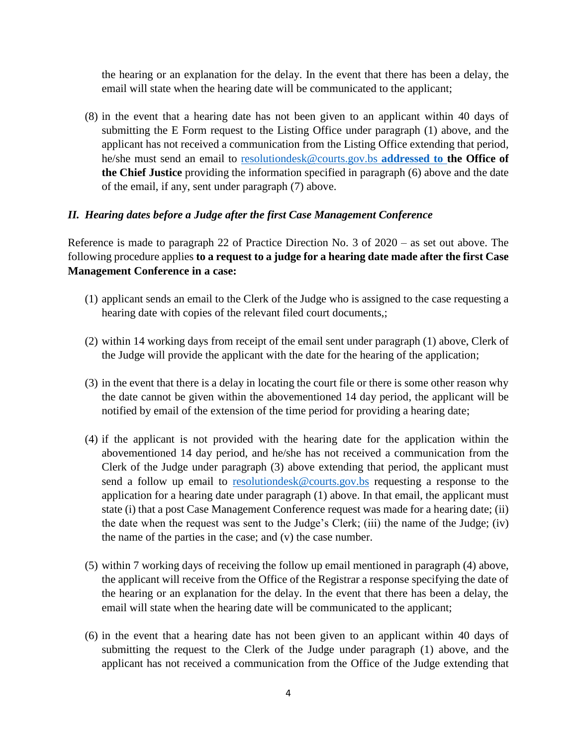the hearing or an explanation for the delay. In the event that there has been a delay, the email will state when the hearing date will be communicated to the applicant;

(8) in the event that a hearing date has not been given to an applicant within 40 days of submitting the E Form request to the Listing Office under paragraph (1) above, and the applicant has not received a communication from the Listing Office extending that period, he/she must send an email to [resolutiondesk@courts.gov.bs](mailto:resolutiondesk@courts.gov.bs) **addressed to the Office of the Chief Justice** providing the information specified in paragraph (6) above and the date of the email, if any, sent under paragraph (7) above.

### *II. Hearing dates before a Judge after the first Case Management Conference*

Reference is made to paragraph 22 of Practice Direction No. 3 of 2020 – as set out above. The following procedure applies **to a request to a judge for a hearing date made after the first Case Management Conference in a case:**

- (1) applicant sends an email to the Clerk of the Judge who is assigned to the case requesting a hearing date with copies of the relevant filed court documents,;
- (2) within 14 working days from receipt of the email sent under paragraph (1) above, Clerk of the Judge will provide the applicant with the date for the hearing of the application;
- (3) in the event that there is a delay in locating the court file or there is some other reason why the date cannot be given within the abovementioned 14 day period, the applicant will be notified by email of the extension of the time period for providing a hearing date;
- (4) if the applicant is not provided with the hearing date for the application within the abovementioned 14 day period, and he/she has not received a communication from the Clerk of the Judge under paragraph (3) above extending that period, the applicant must send a follow up email to [resolutiondesk@courts.gov.bs](mailto:resolutiondesk@courts.gov.bs) requesting a response to the application for a hearing date under paragraph (1) above. In that email, the applicant must state (i) that a post Case Management Conference request was made for a hearing date; (ii) the date when the request was sent to the Judge's Clerk; (iii) the name of the Judge; (iv) the name of the parties in the case; and (v) the case number.
- (5) within 7 working days of receiving the follow up email mentioned in paragraph (4) above, the applicant will receive from the Office of the Registrar a response specifying the date of the hearing or an explanation for the delay. In the event that there has been a delay, the email will state when the hearing date will be communicated to the applicant;
- (6) in the event that a hearing date has not been given to an applicant within 40 days of submitting the request to the Clerk of the Judge under paragraph (1) above, and the applicant has not received a communication from the Office of the Judge extending that